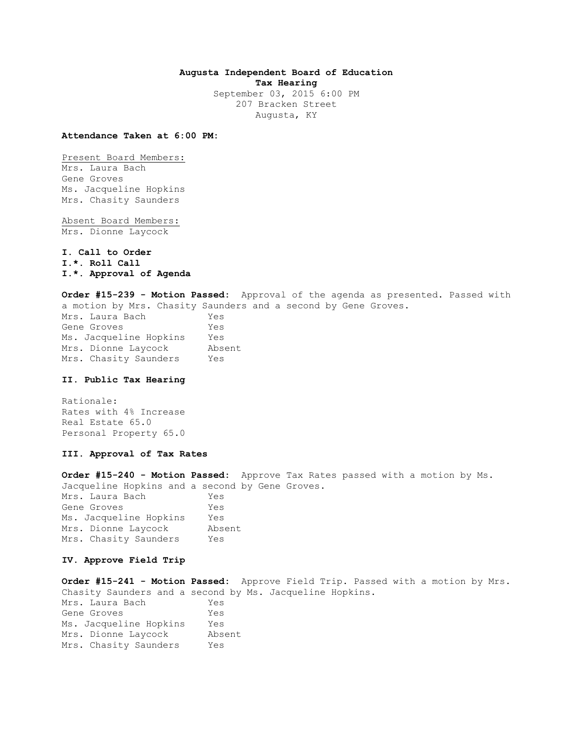## **Augusta Independent Board of Education Tax Hearing**

September 03, 2015 6:00 PM 207 Bracken Street Augusta, KY

**Attendance Taken at 6:00 PM:**

Present Board Members: Mrs. Laura Bach Gene Groves Ms. Jacqueline Hopkins Mrs. Chasity Saunders

Absent Board Members: Mrs. Dionne Laycock

**I. Call to Order I.\*. Roll Call I.\*. Approval of Agenda** 

**Order #15-239 - Motion Passed:** Approval of the agenda as presented. Passed with a motion by Mrs. Chasity Saunders and a second by Gene Groves. Mrs. Laura Bach Yes Gene Groves Yes Ms. Jacqueline Hopkins Yes Mrs. Dionne Laycock Absent Mrs. Chasity Saunders Yes

### **II. Public Tax Hearing**

Rationale: Rates with 4% Increase Real Estate 65.0 Personal Property 65.0

#### **III. Approval of Tax Rates**

**Order #15-240 - Motion Passed:** Approve Tax Rates passed with a motion by Ms. Jacqueline Hopkins and a second by Gene Groves. Mrs. Laura Bach Yes Gene Groves Tes Ms. Jacqueline Hopkins Yes Mrs. Dionne Laycock Absent Mrs. Chasity Saunders Yes

## **IV. Approve Field Trip**

**Order #15-241 - Motion Passed:** Approve Field Trip. Passed with a motion by Mrs. Chasity Saunders and a second by Ms. Jacqueline Hopkins. Mrs. Laura Bach Yes Gene Groves Tes Ms. Jacqueline Hopkins Yes Mrs. Dionne Laycock Absent Mrs. Chasity Saunders Yes